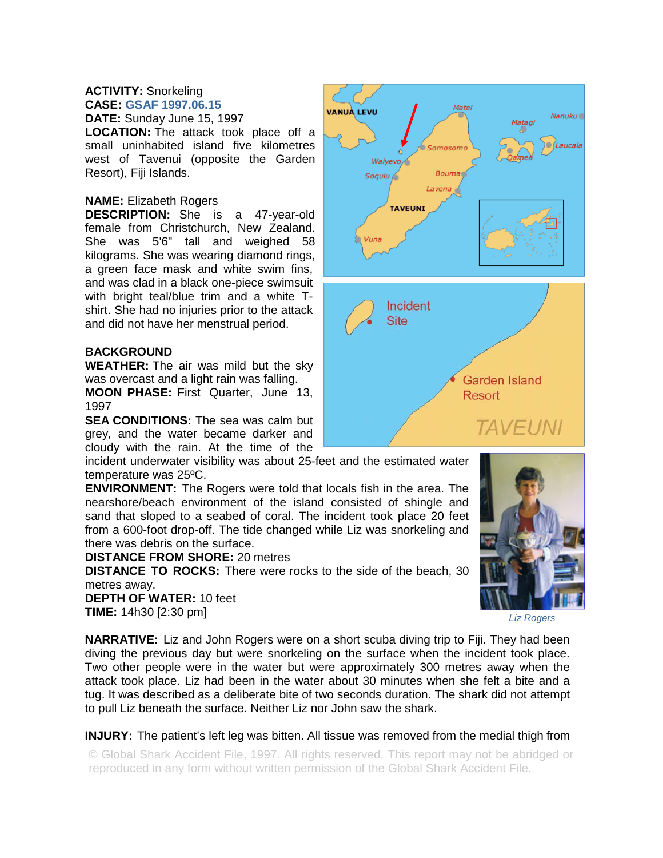## **ACTIVITY:** Snorkeling **CASE: GSAF 1997.06.15**

**DATE:** Sunday June 15, 1997

**LOCATION:** The attack took place off a small uninhabited island five kilometres west of Tavenui (opposite the Garden Resort), Fiji Islands.

## **NAME:** Elizabeth Rogers

**DESCRIPTION:** She is a 47-year-old female from Christchurch, New Zealand. She was 5'6" tall and weighed 58 kilograms. She was wearing diamond rings, a green face mask and white swim fins, and was clad in a black one-piece swimsuit with bright teal/blue trim and a white Tshirt. She had no injuries prior to the attack and did not have her menstrual period.

## **BACKGROUND**

**WEATHER:** The air was mild but the sky was overcast and a light rain was falling.

**MOON PHASE:** First Quarter, June 13, 1997

**SEA CONDITIONS:** The sea was calm but grey, and the water became darker and cloudy with the rain. At the time of the

incident underwater visibility was about 25-feet and the estimated water temperature was 25ºC.

**ENVIRONMENT:** The Rogers were told that locals fish in the area. The nearshore/beach environment of the island consisted of shingle and sand that sloped to a seabed of coral. The incident took place 20 feet from a 600-foot drop-off. The tide changed while Liz was snorkeling and there was debris on the surface.

**DISTANCE FROM SHORE:** 20 metres

**DISTANCE TO ROCKS:** There were rocks to the side of the beach, 30 metres away.

**DEPTH OF WATER:** 10 feet **TIME:** 14h30 [2:30 pm]

**NARRATIVE:** Liz and John Rogers were on a short scuba diving trip to Fiji. They had been diving the previous day but were snorkeling on the surface when the incident took place. Two other people were in the water but were approximately 300 metres away when the attack took place. Liz had been in the water about 30 minutes when she felt a bite and a tug. It was described as a deliberate bite of two seconds duration. The shark did not attempt to pull Liz beneath the surface. Neither Liz nor John saw the shark.

**INJURY:** The patient's left leg was bitten. All tissue was removed from the medial thigh from

© Global Shark Accident File, 1997. All rights reserved. This report may not be abridged or reproduced in any form without written permission of the Global Shark Accident File.





*Liz Rogers*